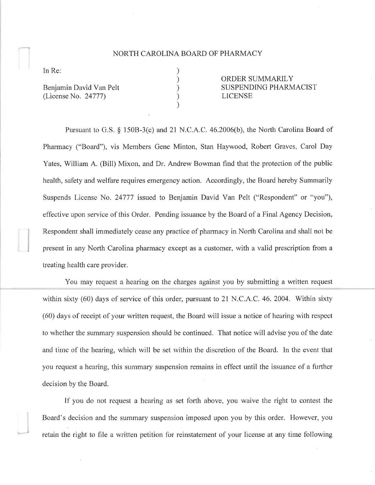## NORTH CAROLINA BOARD OF PHARMACY

) ) ) ) )

In Re:

I

Benjamin David Van Pelt (License No. 24777)

ORDER SUMMARILY SUSPENDING PHARMACIST LICENSE

Pursuant to G.S. § 150B-3(c) and 21 N.C.A.C. 46.2006(b), the North Carolina Board of Pharmacy ("Board"), vis Members Gene Minton, Stan Haywood, Robert Graves, Carol Day Yates, William A. (Bill) Mixon, and Dr. Andrew Bowman find that the protection of the public health, safety and welfare requires emergency action. Accordingly, the Board hereby Summarily Suspends License No. 24777 issued to Benjamin David Van Pelt ("Respondent" or "you"), eflective upon service of this Order. Pending issuance by the Board of a Final Agency Decision, Respondent shall immediately cease any practice of pharmacy in North Carolina and shall not be present in any North Carolina pharmacy except as a customer, with a valid prescription from a treating health care provider.

You may request a hearing on the charges against you by submitting a written request within sixty (60) days of service of this order, pursuant to 21 N.C.A.C. 46. 2004. Within sixty (60) days of receipt of your written request, the Board will issue a notice of hearing with respect to whether the summary suspension should be continued. That notice will advise you of the date and time of the hearing, which will be set within the discretion of the Board. In the event that you request a hearing, this summary suspension remains in effect until the issuance of a further decision by the Board.

If you do not request a hearing as set forth above, you waive the right to contest the Board's decision and the summary suspension imposed upon you by this order. However, you retain the right to file a written petition for reinstatement of your license at any time following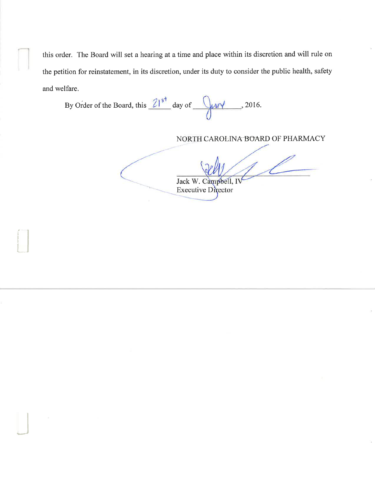this order. The Board will set a hearing at a time and place within its discretion and will rule on the petition for reinstatement, in its discretion, under its duty to consider the public health, safety and welfare.

By Order of the Board, this  $21^{5^{\frac{1}{3}}}$  day of  $\sqrt{uv}$ , 2016.

NORTH CAROLINA BOARD OF PHARMACY

Jack W. Campbell, I **Executive Director**